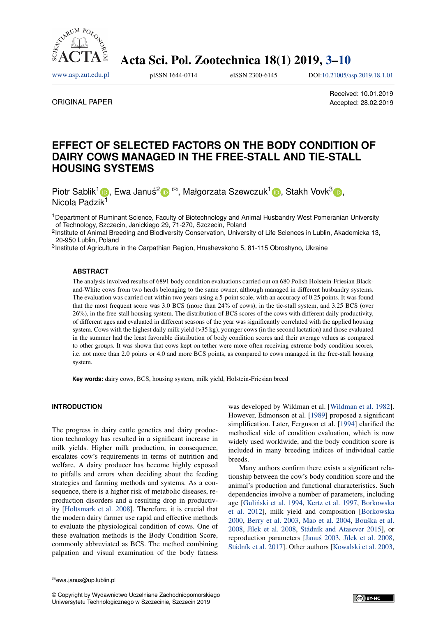

Acta Sci. Pol. Zootechnica 18(1) 2019, [3](#page-0-0)[–10](#page-7-0)

<span id="page-0-0"></span>[www.asp.zut.edu.pl](http://asp.zut.edu.pl/) pISSN 1644-0714 eISSN 2300-6145 DOI[:10.21005/asp.2019.18.1.01](https://doi.org/10.21005/asp.2019.18.1.01)

ORIGINAL PAPER

Received: 10.01.2019 Accepted: 28.02.2019

# **EFFECT OF SELECTED FACTORS ON THE BODY CONDITION OF DAIRY COWS MANAGED IN THE FREE-STALL AND TIE-STALL HOUSING SYSTEMS**

Piotr Sablik<sup>1</sup> D[,](https://orcid.org/0000-0001-8387-1343) Ewa Januś<sup>[2](https://orcid.org/0000-0003-2094-3869)</sup> D <sup>⊠</sup>, Małgorzata Szewczuk<sup>1</sup> D, Stakh Vovk<sup>3</sup> D, Nicola Padzik<sup>1</sup>

<sup>1</sup>Department of Ruminant Science, Faculty of Biotechnology and Animal Husbandry West Pomeranian University of Technology, Szczecin, Janickiego 29, 71-270, Szczecin, Poland

<sup>2</sup>Institute of Animal Breeding and Biodiversity Conservation, University of Life Sciences in Lublin, Akademicka 13, 20-950 Lublin, Poland

<sup>3</sup>Institute of Agriculture in the Carpathian Region, Hrushevskoho 5, 81-115 Obroshyno, Ukraine

#### **ABSTRACT**

The analysis involved results of 6891 body condition evaluations carried out on 680 Polish Holstein-Friesian Blackand-White cows from two herds belonging to the same owner, although managed in different husbandry systems. The evaluation was carried out within two years using a 5-point scale, with an accuracy of 0.25 points. It was found that the most frequent score was 3.0 BCS (more than 24% of cows), in the tie-stall system, and 3.25 BCS (over 26%), in the free-stall housing system. The distribution of BCS scores of the cows with different daily productivity, of different ages and evaluated in different seasons of the year was significantly correlated with the applied housing system. Cows with the highest daily milk yield (>35 kg), younger cows (in the second lactation) and those evaluated in the summer had the least favorable distribution of body condition scores and their average values as compared to other groups. It was shown that cows kept on tether were more often receiving extreme body condition scores, i.e. not more than 2.0 points or 4.0 and more BCS points, as compared to cows managed in the free-stall housing system.

**Key words:** dairy cows, BCS, housing system, milk yield, Holstein-Friesian breed

### **INTRODUCTION**

The progress in dairy cattle genetics and dairy production technology has resulted in a significant increase in milk yields. Higher milk production, in consequence, escalates cow's requirements in terms of nutrition and welfare. A dairy producer has become highly exposed to pitfalls and errors when deciding about the feeding strategies and farming methods and systems. As a consequence, there is a higher risk of metabolic diseases, reproduction disorders and a resulting drop in productivity [\[Holtsmark et al. 2008\]](#page-5-0). Therefore, it is crucial that the modern dairy farmer use rapid and effective methods to evaluate the physiological condition of cows. One of these evaluation methods is the Body Condition Score, commonly abbreviated as BCS. The method combining palpation and visual examination of the body fatness

was developed by Wildman et al. [\[Wildman et al. 1982\]](#page-5-0). However, Edmonson et al. [\[1989\]](#page-5-0) proposed a significant simplification. Later, Ferguson et al. [\[1994\]](#page-5-0) clarified the methodical side of condition evaluation, which is now widely used worldwide, and the body condition score is included in many breeding indices of individual cattle breeds.

Many authors confirm there exists a significant relationship between the cow's body condition score and the animal's production and functional characteristics. Such dependencies involve a number of parameters, including age [Guliński et al. 1994, [Kertz et al. 1997,](#page-5-0) [Borkowska](#page-5-0) [et al. 2012\]](#page-5-0), milk yield and composition [\[Borkowska](#page-5-0) [2000,](#page-5-0) [Berry et al. 2003,](#page-5-0) [Mao et al. 2004,](#page-5-0) [Bouška et al.](#page-5-0) [2008,](#page-5-0) [Jìlek et al. 2008,](#page-5-0) [Stádník and Atasever 2015\]](#page-5-0), or reproduction parameters [\[Janus 2003](#page-5-0), [Jìlek et al. 2008,](#page-5-0) [Stádník et al. 2017\]](#page-5-0). Other authors [\[Kowalski et al. 2003,](#page-5-0)



<sup>&</sup>lt;sup>⊠</sup>ewa.janus@up.lublin.pl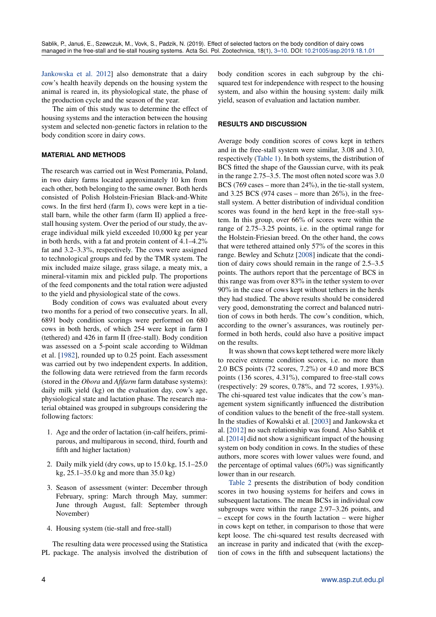[Jankowska et al. 2012\]](#page-5-0) also demonstrate that a dairy cow's health heavily depends on the housing system the animal is reared in, its physiological state, the phase of the production cycle and the season of the year.

The aim of this study was to determine the effect of housing systems and the interaction between the housing system and selected non-genetic factors in relation to the body condition score in dairy cows.

### **MATERIAL AND METHODS**

The research was carried out in West Pomerania, Poland, in two dairy farms located approximately 10 km from each other, both belonging to the same owner. Both herds consisted of Polish Holstein-Friesian Black-and-White cows. In the first herd (farm I), cows were kept in a tiestall barn, while the other farm (farm II) applied a freestall housing system. Over the period of our study, the average individual milk yield exceeded 10,000 kg per year in both herds, with a fat and protein content of 4.1–4.2% fat and 3.2–3.3%, respectively. The cows were assigned to technological groups and fed by the TMR system. The mix included maize silage, grass silage, a meaty mix, a mineral-vitamin mix and pickled pulp. The proportions of the feed components and the total ration were adjusted to the yield and physiological state of the cows.

Body condition of cows was evaluated about every two months for a period of two consecutive years. In all, 6891 body condition scorings were performed on 680 cows in both herds, of which 254 were kept in farm I (tethered) and 426 in farm II (free-stall). Body condition was assessed on a 5-point scale according to Wildman et al. [\[1982\]](#page-5-0), rounded up to 0.25 point. Each assessment was carried out by two independent experts. In addition, the following data were retrieved from the farm records (stored in the *Obora* and *Afifarm* farm database systems): daily milk yield (kg) on the evaluation day, cow's age, physiological state and lactation phase. The research material obtained was grouped in subgroups considering the following factors:

- 1. Age and the order of lactation (in-calf heifers, primiparous, and multiparous in second, third, fourth and fifth and higher lactation)
- 2. Daily milk yield (dry cows, up to 15.0 kg, 15.1–25.0 kg, 25.1–35.0 kg and more than 35.0 kg)
- 3. Season of assessment (winter: December through February, spring: March through May, summer: June through August, fall: September through November)
- 4. Housing system (tie-stall and free-stall)

The resulting data were processed using the Statistica PL package. The analysis involved the distribution of body condition scores in each subgroup by the chisquared test for independence with respect to the housing system, and also within the housing system: daily milk yield, season of evaluation and lactation number.

#### **RESULTS AND DISCUSSION**

Average body condition scores of cows kept in tethers and in the free-stall system were similar, 3.08 and 3.10, respectively [\(Table 1\)](#page-2-0). In both systems, the distribution of BCS fitted the shape of the Gaussian curve, with its peak in the range 2.75–3.5. The most often noted score was 3.0 BCS (769 cases – more than 24%), in the tie-stall system, and  $3.25$  BCS (974 cases – more than  $26\%$ ), in the freestall system. A better distribution of individual condition scores was found in the herd kept in the free-stall system. In this group, over 66% of scores were within the range of 2.75–3.25 points, i.e. in the optimal range for the Holstein-Friesian breed. On the other hand, the cows that were tethered attained only 57% of the scores in this range. Bewley and Schutz [\[2008\]](#page-5-0) indicate that the condition of dairy cows should remain in the range of 2.5–3.5 points. The authors report that the percentage of BCS in this range was from over 83% in the tether system to over 90% in the case of cows kept without tethers in the herds they had studied. The above results should be considered very good, demonstrating the correct and balanced nutrition of cows in both herds. The cow's condition, which, according to the owner's assurances, was routinely performed in both herds, could also have a positive impact on the results.

It was shown that cows kept tethered were more likely to receive extreme condition scores, i.e. no more than 2.0 BCS points (72 scores, 7.2%) or 4.0 and more BCS points (136 scores, 4.31%), compared to free-stall cows (respectively: 29 scores, 0.78%, and 72 scores, 1.93%). The chi-squared test value indicates that the cow's management system significantly influenced the distribution of condition values to the benefit of the free-stall system. In the studies of Kowalski et al. [\[2003\]](#page-5-0) and Jankowska et al. [\[2012\]](#page-5-0) no such relationship was found. Also Sablik et al. [\[2014\]](#page-5-0) did not show a significant impact of the housing system on body condition in cows. In the studies of these authors, more scores with lower values were found, and the percentage of optimal values  $(60\%)$  was significantly lower than in our research.

[Table 2](#page-2-1) presents the distribution of body condition scores in two housing systems for heifers and cows in subsequent lactations. The mean BCSs in individual cow subgroups were within the range 2.97–3.26 points, and – except for cows in the fourth lactation – were higher in cows kept on tether, in comparison to those that were kept loose. The chi-squared test results decreased with an increase in parity and indicated that (with the exception of cows in the fifth and subsequent lactations) the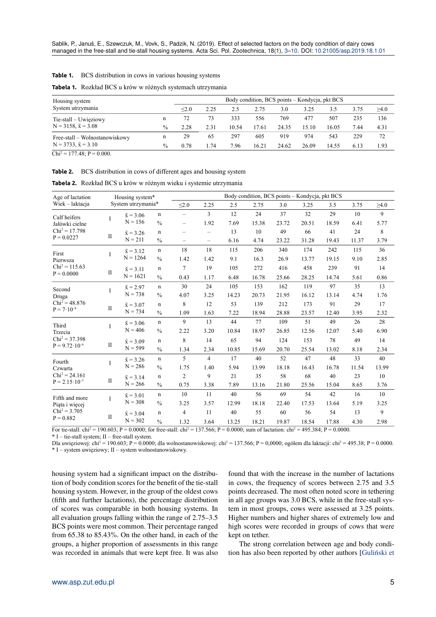# <span id="page-2-0"></span>**Table 1.** BCS distribution in cows in various housing systems

| Housing system                 |               |       |      |       |       | Body condition, BCS points – Kondycja, pkt BCS |       |       |      |      |
|--------------------------------|---------------|-------|------|-------|-------|------------------------------------------------|-------|-------|------|------|
| System utrzymania              |               | < 2.0 | 2.25 | 2.5   | 2.75  | 3.0                                            | 3.25  | 3.5   | 3.75 | >4.0 |
| $Tie-stall - Uwiejiowy$        | n             | 72    | 73   | 333   | 556   | 769                                            | 477   | 507   | 235  | 136  |
| $N = 3158$ , $\bar{x} = 3.08$  | $\frac{0}{0}$ | 2.28  | 2.31 | 10.54 | 17.61 | 24.35                                          | 15.10 | 16.05 | 7.44 | 4.31 |
| Free-stall – Wolnostanowiskowy | n             | 29    | 65   | 297   | 605   | 919                                            | 974   | 543   | 229  | 72   |
| $N = 3733, \bar{x} = 3.10$     | $\frac{0}{0}$ | 0.78  | l.74 | 7.96  | 16.21 | 24.62                                          | 26.09 | 14.55 | 6.13 | 1.93 |

 $Chi^2 = 177.48$ ;  $P = 0.000$ .

<span id="page-2-1"></span>

|  | Table 2. BCS distribution in cows of different ages and housing system |  |
|--|------------------------------------------------------------------------|--|
|  |                                                                        |  |

| Age of lactation                                             |              | Housing system*<br>System utrzymania* |               |                          | Body condition, BCS points - Kondycja, pkt BCS |       |       |       |       |       |       |            |  |  |  |
|--------------------------------------------------------------|--------------|---------------------------------------|---------------|--------------------------|------------------------------------------------|-------|-------|-------|-------|-------|-------|------------|--|--|--|
| Wiek – laktacja                                              |              |                                       |               |                          | 2.25                                           | 2.5   | 2.75  | 3.0   | 3.25  | 3.5   | 3.75  | $\geq 4.0$ |  |  |  |
| Calf heifers                                                 | T            | $\bar{x} = 3.06$                      | $\mathbf n$   | $\overline{\phantom{0}}$ | 3                                              | 12    | 24    | 37    | 32    | 29    | 10    | 9          |  |  |  |
| Jałówki cielne                                               |              | $N = 156$                             | $\frac{0}{0}$ | $\overline{\phantom{0}}$ | 1.92                                           | 7.69  | 15.38 | 23.72 | 20.51 | 18.59 | 6.41  | 5.77       |  |  |  |
| $Chi^2 = 17.798$                                             | $\mathbf{I}$ | $\bar{x} = 3.26$                      | $\mathbf n$   | $\overline{\phantom{0}}$ | $\overline{\phantom{0}}$                       | 13    | 10    | 49    | 66    | 41    | 24    | 8          |  |  |  |
| $P = 0.0227$                                                 |              | $N = 211$                             | $\frac{0}{0}$ | $\overline{\phantom{0}}$ | $\overline{\phantom{0}}$                       | 6.16  | 4.74  | 23.22 | 31.28 | 19.43 | 11.37 | 3.79       |  |  |  |
| First                                                        | I            | $\bar{x} = 3.12$                      | $\mathbf n$   | 18                       | 18                                             | 115   | 206   | 340   | 174   | 242   | 115   | 36         |  |  |  |
| Pierwsza                                                     |              | $N = 1264$                            | $\frac{0}{0}$ | 1.42                     | 1.42                                           | 9.1   | 16.3  | 26.9  | 13.77 | 19.15 | 9.10  | 2.85       |  |  |  |
| $Chi^2 = 115.63$                                             |              | $\bar{x} = 3.11$                      | $\mathbf n$   | 7                        | 19                                             | 105   | 272   | 416   | 458   | 239   | 91    | 14         |  |  |  |
| $\mathbf{I}$<br>$P = 0.0000$                                 | $N = 1621$   | $\frac{0}{0}$                         | 0.43          | 1.17                     | 6.48                                           | 16.78 | 25.66 | 28.25 | 14.74 | 5.61  | 0.86  |            |  |  |  |
| Second<br>Druga<br>$Chi^2 = 48.876$<br>$P = 7 \cdot 10^{-8}$ | I            | $\bar{x} = 2.97$                      | $\mathbf n$   | 30                       | 24                                             | 105   | 153   | 162   | 119   | 97    | 35    | 13         |  |  |  |
|                                                              |              | $N = 738$                             | $\frac{0}{0}$ | 4.07                     | 3.25                                           | 14.23 | 20.73 | 21.95 | 16.12 | 13.14 | 4.74  | 1.76       |  |  |  |
|                                                              | $\mathbf{I}$ | $\bar{x} = 3.07$                      | $\mathbf n$   | 8                        | 12                                             | 53    | 139   | 212   | 173   | 91    | 29    | 17         |  |  |  |
|                                                              |              | $N = 734$                             | $\frac{0}{0}$ | 1.09                     | 1.63                                           | 7.22  | 18.94 | 28.88 | 23.57 | 12.40 | 3.95  | 2.32       |  |  |  |
| Third                                                        | I            | $\bar{x} = 3.06$                      | $\mathbf n$   | 9                        | 13                                             | 44    | 77    | 109   | 51    | 49    | 26    | 28         |  |  |  |
| Trzecia                                                      |              | $N = 406$                             | $\frac{0}{0}$ | 2.22                     | 3.20                                           | 10.84 | 18.97 | 26.85 | 12.56 | 12.07 | 5.40  | 6.90       |  |  |  |
| $Chi^2 = 37,398$<br>$\mathbf{I}$<br>$P = 9.72 \cdot 10^{-6}$ |              | $\bar{x} = 3.09$                      | $\mathbf n$   | 8                        | 14                                             | 65    | 94    | 124   | 153   | 78    | 49    | 14         |  |  |  |
|                                                              |              | $N = 599$                             | $\frac{0}{0}$ | 1.34                     | 2.34                                           | 10.85 | 15.69 | 20.70 | 25.54 | 13.02 | 8.18  | 2.34       |  |  |  |
| Fourth                                                       | I            | $\bar{x} = 3.26$                      | $\mathbf n$   | 5                        | $\overline{4}$                                 | 17    | 40    | 52    | 47    | 48    | 33    | 40         |  |  |  |
| Czwarta                                                      |              | $N = 286$                             | $\frac{0}{0}$ | 1.75                     | 1.40                                           | 5.94  | 13.99 | 18.18 | 16.43 | 16.78 | 11.54 | 13.99      |  |  |  |
| $Chi^2 = 24.161$                                             | $\mathbf{I}$ | $\bar{x} = 3.14$                      | $\mathbf n$   | $\overline{c}$           | 9                                              | 21    | 35    | 58    | 68    | 40    | 23    | 10         |  |  |  |
| $P = 2.15 \cdot 10^{-3}$                                     |              | $N = 266$                             | $\frac{0}{0}$ | 0.75                     | 3.38                                           | 7.89  | 13.16 | 21.80 | 25.56 | 15.04 | 8.65  | 3.76       |  |  |  |
| Fifth and more                                               | I            | $\bar{x} = 3.01$                      | $\mathbf n$   | 10                       | 11                                             | 40    | 56    | 69    | 54    | 42    | 16    | 10         |  |  |  |
| Piąta i więcej                                               |              | $N = 308$                             | $\frac{0}{0}$ | 3.25                     | 3.57                                           | 12.99 | 18.18 | 22.40 | 17.53 | 13.64 | 5.19  | 3.25       |  |  |  |
| $Chi^2 = 3.705$                                              |              | $\bar{x} = 3.04$                      | $\mathbf n$   | $\overline{4}$           | 11                                             | 40    | 55    | 60    | 56    | 54    | 13    | 9          |  |  |  |
| $P = 0.882$                                                  | $\mathbf{I}$ | $N = 302$                             | $\frac{0}{0}$ | 1.32                     | 3.64                                           | 13.25 | 18.21 | 19.87 | 18.54 | 17.88 | 4.30  | 2.98       |  |  |  |

**Tabela 2.** Rozkład BCS u krów w różnym wieku i systemie utrzymania

For tie-stall:  $\text{chi}^2 = 190.603$ ; P = 0.0000; for free-stall:  $\text{chi}^2 = 137.566$ ; P = 0.0000; sum of lactation:  $\text{chi}^2 = 495.384$ ; P = 0.0000.  $*$  I – tie-stall system; II – free-stall system.

Dla uwięziowej: chi<sup>2</sup> = 190.603; P = 0.0000; dla wolnostanowiskowej: chi<sup>2</sup> = 137.566; P = 0,0000; ogółem dla laktacji: chi<sup>2</sup> = 495.38; P = 0.0000. \* I – system uwięziowy; II – system wolnostanowiskowy.

housing system had a significant impact on the distribution of body condition scores for the benefit of the tie-stall housing system. However, in the group of the oldest cows (fifth and further lactations), the percentage distribution of scores was comparable in both housing systems. In all evaluation groups falling within the range of 2.75–3.5 BCS points were most common. Their percentage ranged from 65.38 to 85.43%. On the other hand, in each of the groups, a higher proportion of assessments in this range was recorded in animals that were kept free. It was also found that with the increase in the number of lactations in cows, the frequency of scores between 2.75 and 3.5 points decreased. The most often noted score in tethering in all age groups was 3.0 BCS, while in the free-stall system in most groups, cows were assessed at 3.25 points. Higher numbers and higher shares of extremely low and high scores were recorded in groups of cows that were kept on tether.

The strong correlation between age and body condition has also been reported by other authors [Guliński et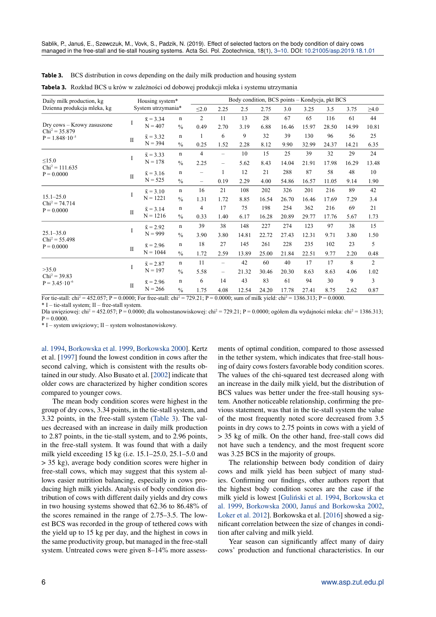| Daily milk production, kg                      | Housing system* |                    |               | Body condition, BCS points - Kondycja, pkt BCS |                          |       |       |       |       |       |       |            |  |
|------------------------------------------------|-----------------|--------------------|---------------|------------------------------------------------|--------------------------|-------|-------|-------|-------|-------|-------|------------|--|
| Dzienna produkcja mleka, kg                    |                 | System utrzymania* |               |                                                | 2.25                     | 2.5   | 2.75  | 3.0   | 3.25  | 3.5   | 3.75  | $\geq 4.0$ |  |
|                                                | I               | $\bar{x} = 3.34$   | $\mathbf n$   | $\overline{2}$                                 | 11                       | 13    | 28    | 67    | 65    | 116   | 61    | 44         |  |
| Dry cows – Krowy zasuszone<br>$Chi^2 = 35.879$ |                 | $N = 407$          | $\frac{0}{0}$ | 0.49                                           | 2.70                     | 3.19  | 6.88  | 16.46 | 15.97 | 28.50 | 14.99 | 10.81      |  |
| $P = 1.848 \cdot 10^{-5}$                      | $\mathbf{I}$    | $\bar{x} = 3.32$   | $\mathbf n$   | $\mathbf{1}$                                   | 6                        | 9     | 32    | 39    | 130   | 96    | 56    | 25         |  |
|                                                |                 | $N = 394$          | $\frac{0}{0}$ | 0.25                                           | 1.52                     | 2.28  | 8.12  | 9.90  | 32.99 | 24.37 | 14.21 | 6.35       |  |
|                                                |                 | $\bar{x} = 3.33$   | $\mathbf n$   | $\overline{4}$                                 | $\overline{\phantom{0}}$ | 10    | 15    | 25    | 39    | 32    | 29    | 24         |  |
| < 15.0                                         | I               | $N = 178$          | $\frac{0}{0}$ | 2.25                                           | $\overline{\phantom{0}}$ | 5.62  | 8.43  | 14.04 | 21.91 | 17.98 | 16.29 | 13.48      |  |
| $Chi^2 = 111.635$<br>$P = 0.0000$              | $\mathbf{I}$    | $\bar{x} = 3.16$   | $\mathbf n$   |                                                | 1                        | 12    | 21    | 288   | 87    | 58    | 48    | 10         |  |
|                                                |                 | $N = 525$          | $\frac{0}{0}$ | $\overline{\phantom{0}}$                       | 0.19                     | 2.29  | 4.00  | 54.86 | 16.57 | 11.05 | 9.14  | 1.90       |  |
|                                                |                 | $\bar{x} = 3.10$   | $\mathbf n$   | 16                                             | 21                       | 108   | 202   | 326   | 201   | 216   | 89    | 42         |  |
| $15.1 - 25.0$                                  | I               | $N = 1221$         | $\frac{0}{0}$ | 1.31                                           | 1.72                     | 8.85  | 16.54 | 26.70 | 16.46 | 17.69 | 7.29  | 3.4        |  |
| $Chi^2 = 74.714$<br>$P = 0.0000$               | $\mathbf{I}$    | $\bar{x} = 3.14$   | $\mathbf n$   | $\overline{4}$                                 | 17                       | 75    | 198   | 254   | 362   | 216   | 69    | 21         |  |
|                                                |                 | $N = 1216$         | $\frac{0}{0}$ | 0.33                                           | 1.40                     | 6.17  | 16.28 | 20.89 | 29.77 | 17.76 | 5.67  | 1.73       |  |
|                                                | I               | $\bar{x} = 2.92$   | $\mathbf n$   | 39                                             | 38                       | 148   | 227   | 274   | 123   | 97    | 38    | 15         |  |
| $25.1 - 35.0$                                  |                 | $N = 999$          | $\frac{0}{0}$ | 3.90                                           | 3.80                     | 14.81 | 22.72 | 27.43 | 12.31 | 9.71  | 3.80  | 1.50       |  |
| $Chi^2 = 55.498$<br>$P = 0.0000$               |                 | $\bar{x} = 2.96$   | $\mathbf n$   | 18                                             | 27                       | 145   | 261   | 228   | 235   | 102   | 23    | 5          |  |
|                                                | $\mathbf{I}$    | $N = 1044$         | $\frac{0}{0}$ | 1.72                                           | 2.59                     | 13.89 | 25.00 | 21.84 | 22.51 | 9.77  | 2.20  | 0.48       |  |
|                                                |                 | $\bar{x} = 2.87$   | $\mathbf n$   | 11                                             | $\overline{\phantom{0}}$ | 42    | 60    | 40    | 17    | 17    | 8     | 2          |  |
| >35.0                                          | I               | $N = 197$          | $\frac{0}{0}$ | 5.58                                           | $\qquad \qquad -$        | 21.32 | 30.46 | 20.30 | 8.63  | 8.63  | 4.06  | 1.02       |  |
| $Chi^2 = 39.83$<br>$P = 3.45 \cdot 10^{-6}$    |                 | $\bar{x} = 2.96$   | $\mathbf n$   | 6                                              | 14                       | 43    | 83    | 61    | 94    | 30    | 9     | 3          |  |
|                                                | $\mathbf{I}$    | $N = 266$          | $\frac{0}{0}$ | 1.75                                           | 4.08                     | 12.54 | 24.20 | 17.78 | 27.41 | 8.75  | 2.62  | 0.87       |  |

<span id="page-3-0"></span>**Table 3.** BCS distribution in cows depending on the daily milk production and housing system **Tabela 3.** [Rozkład BCS u krów w zależności od dobowej produkcji mleka i systemu utrzymania](#page-5-0)

For tie-stall:  $\text{chi}^2 = 452.057$ ; P = 0.0000; For free-stall:  $\text{chi}^2 = 729.21$ ; P = 0.0000; sum of milk yield:  $\text{chi}^2 = 1386.313$ ; P = 0.0000.

 $*$  I – tie-stall system; II – free-stall system.

Dla uwięziowej: chi<sup>2</sup> = 452.057; P = 0.0000; dla wolnostanowiskowej: chi<sup>2</sup> = 729.21; P = 0.0000; ogółem dla wydajności mleka: chi<sup>2</sup> = 1386.313;  $P = 0.0000$ .

\* I – system uwięziowy; II – system wolnostanowiskowy.

[al. 1994,](#page-5-0) [Borkowska et al. 1999,](#page-5-0) [Borkowska 2000\]](#page-5-0). Kertz et al. [\[1997\]](#page-5-0) found the lowest condition in cows after the second calving, which is consistent with the results obtained in our study. Also Busato et al. [\[2002\]](#page-5-0) indicate that older cows are characterized by higher condition scores compared to younger cows.

The mean body condition scores were highest in the group of dry cows, 3.34 points, in the tie-stall system, and 3.32 points, in the free-stall system [\(Table 3\)](#page-3-0). The values decreased with an increase in daily milk production to 2.87 points, in the tie-stall system, and to 2.96 points, in the free-stall system. It was found that with a daily milk yield exceeding 15 kg (i.e. 15.1–25.0, 25.1–5.0 and > 35 kg), average body condition scores were higher in free-stall cows, which may suggest that this system allows easier nutrition balancing, especially in cows producing high milk yields. Analysis of body condition distribution of cows with different daily yields and dry cows in two housing systems showed that 62.36 to 86.48% of the scores remained in the range of 2.75–3.5. The lowest BCS was recorded in the group of tethered cows with the yield up to 15 kg per day, and the highest in cows in the same productivity group, but managed in the free-stall system. Untreated cows were given 8–14% more assess-

ments of optimal condition, compared to those assessed in the tether system, which indicates that free-stall housing of dairy cows fosters favorable body condition scores. The values of the chi-squared test decreased along with an increase in the daily milk yield, but the distribution of BCS values was better under the free-stall housing system. Another noticeable relationship, confirming the previous statement, was that in the tie-stall system the value of the most frequently noted score decreased from 3.5 points in dry cows to 2.75 points in cows with a yield of > 35 kg of milk. On the other hand, free-stall cows did not have such a tendency, and the most frequent score was 3.25 BCS in the majority of groups.

The relationship between body condition of dairy cows and milk yield has been subject of many studies. Confirming our findings, other authors report that the highest body condition scores are the case if the milk yield is lowest [Guliński et al. 1994, [Borkowska et](#page-5-0) [al. 1999,](#page-5-0) [Borkowska 2000,](#page-5-0) [Janus and Borkowska 2002](#page-5-0), [Loker et al. 2012\]](#page-5-0). Borkowska et al. [\[2016\]](#page-5-0) showed a significant correlation between the size of changes in condition after calving and milk yield.

Year season can significantly affect many of dairy cows' production and functional characteristics. In our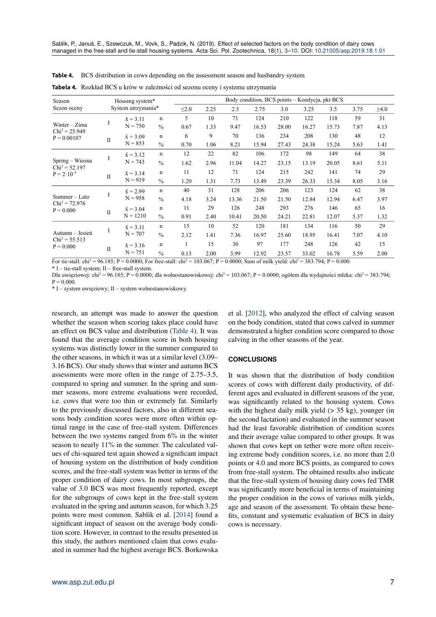| Season                                                                           |                    |                  |               | Body condition, BCS points - Kondycja, pkt BCS<br>Housing system* |      |       |       |       |       |       |      |            |  |
|----------------------------------------------------------------------------------|--------------------|------------------|---------------|-------------------------------------------------------------------|------|-------|-------|-------|-------|-------|------|------------|--|
| Sezon oceny                                                                      | System utrzymania* |                  |               | $\leq 2.0$                                                        | 2.25 | 2.5   | 2.75  | 3.0   | 3.25  | 3.5   | 3.75 | $\geq 4.0$ |  |
|                                                                                  |                    | $\bar{x} = 3.11$ | n             | 5                                                                 | 10   | 71    | 124   | 210   | 122   | 118   | 59   | 31         |  |
| Winter $-Zima$<br>$Chi^2 = 25.949$                                               | 1                  | $N = 750$        | $\frac{0}{0}$ | 0.67                                                              | 1.33 | 9.47  | 16.53 | 28.00 | 16.27 | 15.73 | 7.87 | 4.13       |  |
| $P = 0.00107$                                                                    | $\mathbf{I}$       | $\bar{x} = 3.09$ | n             | 6                                                                 | 9    | 70    | 136   | 234   | 208   | 130   | 48   | 12         |  |
|                                                                                  |                    | $N = 853$        | $\frac{0}{0}$ | 0.70                                                              | 1.06 | 8.21  | 15.94 | 27.43 | 24.38 | 15.24 | 5.63 | 1.41       |  |
| I<br>Spring – Wiosna<br>$Chi^2 = 52.197$<br>$P = 2 \cdot 10^{-8}$<br>$_{\rm II}$ |                    | $\bar{x} = 3.12$ | n             | 12                                                                | 22   | 82    | 106   | 172   | 98    | 149   | 64   | 38         |  |
|                                                                                  |                    | $N = 743$        | $\frac{0}{0}$ | 1.62                                                              | 2.96 | 11.04 | 14.27 | 23.15 | 13.19 | 20.05 | 8.61 | 5.11       |  |
|                                                                                  |                    | $\bar{x} = 3.14$ | n             | 11                                                                | 12   | 71    | 124   | 215   | 242   | 141   | 74   | 29         |  |
|                                                                                  |                    | $N = 919$        | $\frac{0}{0}$ | 1.20                                                              | 1.31 | 7.73  | 13.49 | 23.39 | 26.33 | 15.34 | 8.05 | 3.16       |  |
|                                                                                  |                    | $\bar{x} = 2.99$ | $\mathbf n$   | 40                                                                | 31   | 128   | 206   | 206   | 123   | 124   | 62   | 38         |  |
| $Summer - Lato$                                                                  | I                  | $N = 958$        | $\frac{0}{0}$ | 4.18                                                              | 3.24 | 13.36 | 21.50 | 21.50 | 12.84 | 12.94 | 6.47 | 3.97       |  |
| $Chi^2 = 72.976$<br>$P = 0.000$                                                  |                    | $\bar{x} = 3.04$ | $\mathbf n$   | 11                                                                | 29   | 126   | 248   | 293   | 276   | 146   | 65   | 16         |  |
|                                                                                  | $_{\rm II}$        | $N = 1210$       | $\frac{0}{0}$ | 0.91                                                              | 2.40 | 10.41 | 20.50 | 24.21 | 22.81 | 12.07 | 5.37 | 1.32       |  |
|                                                                                  |                    | $\bar{x} = 3.11$ | n             | 15                                                                | 10   | 52    | 120   | 181   | 134   | 116   | 50   | 29         |  |
| Autumn – Jesień                                                                  | I                  | $N = 707$        | $\frac{0}{0}$ | 2.12                                                              | 1.41 | 7.36  | 16.97 | 25.60 | 18.95 | 16.41 | 7.07 | 4.10       |  |
| $Chi^2 = 55.513$<br>$P = 0.000$                                                  |                    | $\bar{x} = 3.16$ | n             |                                                                   | 15   | 30    | 97    | 177   | 248   | 126   | 42   | 15         |  |
|                                                                                  | $\mathbf{I}$       | $N = 751$        | $\frac{0}{0}$ | 0.13                                                              | 2.00 | 3.99  | 12.92 | 23.57 | 33.02 | 16.78 | 5.59 | 2.00       |  |

<span id="page-4-0"></span>**Table 4.** BCS distribution in cows depending on the assessment season and husbandry system

**Tabela 4.** Rozkład BCS u krów w zależności od sezonu oceny i systemu utrzymania

|                                                                                                                                      | For tie-stall: chi <sup>2</sup> = 96.185; P = 0.0000; For free-stall: chi <sup>2</sup> = 103.067; P = 0.0000; Sum of milk yield: chi <sup>2</sup> = 383.794; P = 0.000. |
|--------------------------------------------------------------------------------------------------------------------------------------|-------------------------------------------------------------------------------------------------------------------------------------------------------------------------|
| $\mathbf{u}$ , $\mathbf{v}$ , $\mathbf{v}$ , $\mathbf{v}$ , $\mathbf{v}$ , $\mathbf{v}$ , $\mathbf{v}$ , $\mathbf{v}$ , $\mathbf{v}$ |                                                                                                                                                                         |

\* I – tie-stall system; II – free-stall system.

Dla uwięziowej: chi<sup>2</sup> = 96.185; P = 0.0000; dla wolnostanowiskowej: chi<sup>2</sup> = 103.067; P = 0.0000; ogółem dla wydajności mleka: chi<sup>2</sup> = 383.794;  $P = 0.000$ .

\* I – system uwięziowy; II – system wolnostanowiskowy.

research, an attempt was made to answer the question whether the season when scoring takes place could have an effect on BCS value and distribution [\(Table 4\)](#page-4-0). It was found that the average condition score in both housing systems was distinctly lower in the summer compared to the other seasons, in which it was at a similar level (3.09– 3.16 BCS). Our study shows that winter and autumn BCS assessments were more often in the range of 2.75–3.5, compared to spring and summer. In the spring and summer seasons, more extreme evaluations were recorded, i.e. cows that were too thin or extremely fat. Similarly to the previously discussed factors, also in different seasons body condition scores were more often within optimal range in the case of free-stall system. Differences between the two systems ranged from 6% in the winter season to nearly 11% in the summer. The calculated values of chi-squared test again showed a significant impact of housing system on the distribution of body condition scores, and the free-stall system was better in terms of the proper condition of dairy cows. In most subgroups, the value of 3.0 BCS was most frequently reported, except for the subgroups of cows kept in the free-stall system evaluated in the spring and autumn season, for which 3.25 points were most common. Sablik et al. [\[2014\]](#page-5-0) found a significant impact of season on the average body condition score. However, in contrast to the results presented in this study, the authors mentioned claim that cows evaluated in summer had the highest average BCS. Borkowska et al. [\[2012\]](#page-5-0), who analyzed the effect of calving season on the body condition, stated that cows calved in summer demonstrated a higher condition score compared to those calving in the other seasons of the year.

#### **CONCLUSIONS**

It was shown that the distribution of body condition scores of cows with different daily productivity, of different ages and evaluated in different seasons of the year, was significantly related to the housing system. Cows with the highest daily milk yield  $(> 35 \text{ kg})$ , younger (in the second lactation) and evaluated in the summer season had the least favorable distribution of condition scores and their average value compared to other groups. It was shown that cows kept on tether were more often receiving extreme body condition scores, i.e. no more than 2.0 points or 4.0 and more BCS points, as compared to cows from free-stall system. The obtained results also indicate that the free-stall system of housing dairy cows fed TMR was significantly more beneficial in terms of maintaining the proper condition in the cows of various milk yields, age and season of the assessment. To obtain these benefits, constant and systematic evaluation of BCS in dairy cows is necessary.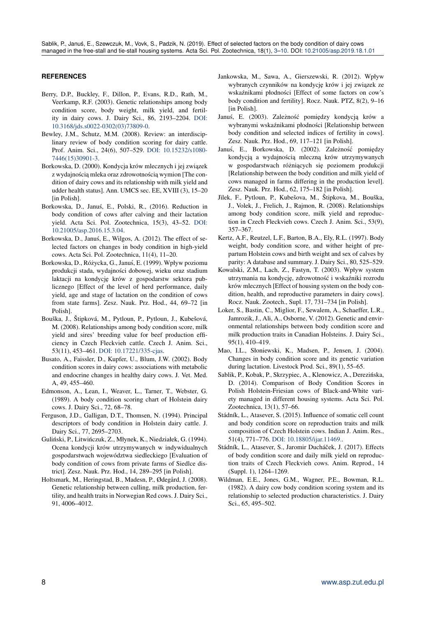### <span id="page-5-0"></span>**REFERENCES**

- Berry, D.P., Buckley, F., Dillon, P., Evans, R.D., Rath, M., Veerkamp, R.F. (2003). Genetic relationships among body condition score, body weight, milk yield, and fertility in dairy cows. J. Dairy Sci., 86, 2193–2204. [DOI:](https://doi.org/10.3168/jds.s0022-0302(03)73809-0) [10.3168/jds.s0022-0302\(03\)73809-0.](https://doi.org/10.3168/jds.s0022-0302(03)73809-0)
- Bewley, J.M., Schutz, M.M. (2008). Review: an interdisciplinary review of body condition scoring for dairy cattle. Prof. Anim. Sci., 24(6), 507–529. [DOI: 10.15232/s1080-](https://doi.org/10.15232/s1080-7446(15)30901-3) [7446\(15\)30901-3.](https://doi.org/10.15232/s1080-7446(15)30901-3)
- Borkowska, D. (2000). Kondycja krów mlecznych i jej związek z wydajnościa mleka oraz zdrowotnościa wymion [The condition of dairy cows and its relationship with milk yield and udder health status]. Ann. UMCS sec. EE, XVIII (3), 15–20 [in Polish].
- Borkowska, D., Janus, E., Polski, R., (2016). Reduction in ´ body condition of cows after calving and their lactation yield. Acta Sci. Pol. Zootechnica, 15(3), 43–52. [DOI:](https://doi.org/10.21005/asp.2016.15.3.04) [10.21005/asp.2016.15.3.04.](https://doi.org/10.21005/asp.2016.15.3.04)
- Borkowska, D., Januś, E., Wilgos, A. (2012). The effect of selected factors on changes in body condition in high-yield cows. Acta Sci. Pol. Zootechnica, 11(4), 11–20.
- Borkowska, D., Różycka, G., Januś, E. (1999). Wpływ poziomu produkcji stada, wydajności dobowej, wieku oraz stadium laktacji na kondycję krów z gospodarstw sektora publicznego [Effect of the level of herd performance, daily yield, age and stage of lactation on the condition of cows from state farms]. Zesz. Nauk. Prz. Hod., 44, 69–72 [in Polish].
- Bouška, J., Štipková, M., Pytloun, P., Pytloun, J., Kubešová, M. (2008). Relationships among body condition score, milk yield and sires' breeding value for beef production efficiency in Czech Fleckvieh cattle. Czech J. Anim. Sci., 53(11), 453–461. [DOI: 10.17221/335-cjas.](https://doi.org/10.17221/335-cjas)
- Busato, A., Faissler, D., Kupfer, U., Blum, J.W. (2002). Body condition scores in dairy cows: associations with metabolic and endocrine changes in healthy dairy cows. J. Vet. Med. A, 49, 455–460.
- Edmonson, A., Lean, I., Weaver, L., Tarner, T., Webster, G. (1989). A body condition scoring chart of Holstein dairy cows. J. Dairy Sci., 72, 68–78.
- Ferguson, J.D., Galligan, D.T., Thomsen, N. (1994). Principal descriptors of body condition in Holstein dairy cattle. J. Dairy Sci., 77, 2695–2703.
- Guliński, P., Litwińczuk, Z., Młynek, K., Niedziałek, G. (1994). Ocena kondycji krów utrzymywanych w indywidualnych gospodarstwach województwa siedleckiego [Evaluation of body condition of cows from private farms of Siedlce district]. Zesz. Nauk. Prz. Hod., 14, 289–295 [in Polish].
- Holtsmark, M., Heringstad, B., Madesn, P., Ødegård, J. (2008). Genetic relationship between culling, milk production, fertility, and health traits in Norwegian Red cows. J. Dairy Sci., 91, 4006–4012.
- Jankowska, M., Sawa, A., Gierszewski, R. (2012). Wpływ wybranych czynników na kondycję krów i jej związek ze wskaźnikami płodności [Effect of some factors on cow's body condition and fertility]. Rocz. Nauk. PTZ, 8(2), 9–16 [in Polish].
- Januś, E. (2003). Zależność pomiędzy kondycją krów a wybranymi wskaźnikami płodności [Relationship between body condition and selected indices of fertility in cows]. Zesz. Nauk. Prz. Hod., 69, 117–121 [in Polish].
- Januś, E., Borkowska, D. (2002). Zależność pomiędzy kondycją a wydajnością mleczną krów utrzymywanych w gospodarstwach różniących się poziomem produkcji [Relationship between the body condition and milk yield of cows managed in farms differing in the production level]. Zesz. Nauk. Prz. Hod., 62, 175–182 [in Polish].
- Jìlek, F., Pytloun, P., Kubešova, M., Štipkova, M., Bouška, J., Volek, J., Frelich, J., Rajmon, R. (2008). Relationships among body condition score, milk yield and reproduction in Czech Fleckvieh cows. Czech J. Anim. Sci., 53(9), 357–367.
- Kertz, A.F., Reutzel, L.F., Barton, B.A., Ely, R.L. (1997). Body weight, body condition score, and wither height of prepartum Holstein cows and birth weight and sex of calves by parity: A database and summary. J. Dairy Sci., 80, 525–529.
- Kowalski, Z.M., Lach, Z., Fastyn, T. (2003). Wpływ system utrzymania na kondycję, zdrowotność i wskaźniki rozrodu krów mlecznych [Effect of housing system on the body condition, health, and reproductive parameters in dairy cows]. Rocz. Nauk. Zootech., Supl. 17, 731–734 [in Polish].
- Loker, S., Bastin, C., Miglior, F., Sewalem, A., Schaeffer, L.R., Jamrozik, J., Ali, A., Osborne, V. (2012). Genetic and environmental relationships between body condition score and milk production traits in Canadian Holsteins. J. Dairy Sci., 95(1), 410–419.
- Mao, I.L., Słoniewski, K., Madsen, P., Jensen, J. (2004). Changes in body condition score and its genetic variation during lactation. Livestock Prod. Sci., 89(1), 55–65.
- Sablik, P., Kobak, P., Skrzypiec, A., Klenowicz, A., Derezińska, D. (2014). Comparison of Body Condition Scores in Polish Holstein-Friesian cows of Black-and-White variety managed in different housing systems. Acta Sci. Pol. Zootechnica, 13(1), 57–66.
- Stádník, L., Atasever, S. (2015). Influence of somatic cell count and body condition score on reproduction traits and milk composition of Czech Holstein cows. Indian J. Anim. Res., 51(4), 771–776. [DOI: 10.18805/ijar.11469..](https://doi.org/10.18805/ijar.11469.)
- Stádník, L., Atasever, S., Jaromir Ducháček, J. (2017). Effects of body condition score and daily milk yield on reproduction traits of Czech Fleckvieh cows. Anim. Reprod., 14 (Suppl. 1), 1264–1269.
- Wildman, E.E., Jones, G.M., Wagner, P.E., Bowman, R.L. (1982). A dairy cow body condition scoring system and its relationship to selected production characteristics. J. Dairy Sci., 65, 495–502.